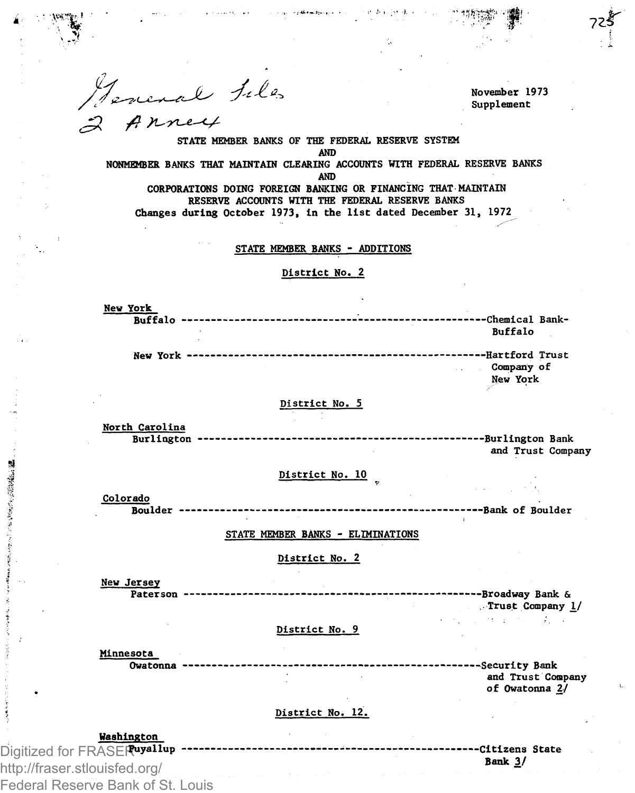General Files  $2$   $A$ nney

November 1973 Supplement

*tzir* 

STATE MEMBER BANKS OF THE FEDERAL RESERVE SYSTEM AND NONMEMBER BANKS THAT MAINTAIN CLEARING ACCOUNTS WITH FEDERAL RESERVE BANKS AND CORPORATIONS DOING FOREIGN BANKING OR FINANCING THAT MAINTAIN

أحديث والتوقيع فلفاوك

RESERVE ACCOUNTS WITH THE FEDERAL RESERVE BANKS Changes during October 1973, In the list dated December 31, 1972

#### STATE MEMBER BANKS - ADDITIONS

## District No. 2

New York Buffalo — — — —Chemical Bank-Buffalo New York Hartford Trust Company of New York

### District No. 5

North Carolina

Burlington — Burlington Bank and Trust Company

# District No. 10

Colorado Boulder — —Bank of Boulder

#### STATE MEMBER BANKS - ELIMINATIONS

## District No. 2

New Jersey

「大阪のことのある」

Paterson — Broadway Bank & Trust Company 1/ **President Committee** 

#### District No. 9

Minnesota<br>Owatonna ---------------

------------------------------Security Bank and Trust Company of Owatonna 2/

# District No. 12.

Washington Digitized for FRASER uyallup http://fraser.stlouisfed.org/ Federal Reserve Bank of St. Louis

-------------------------Citizens State Bank 3/